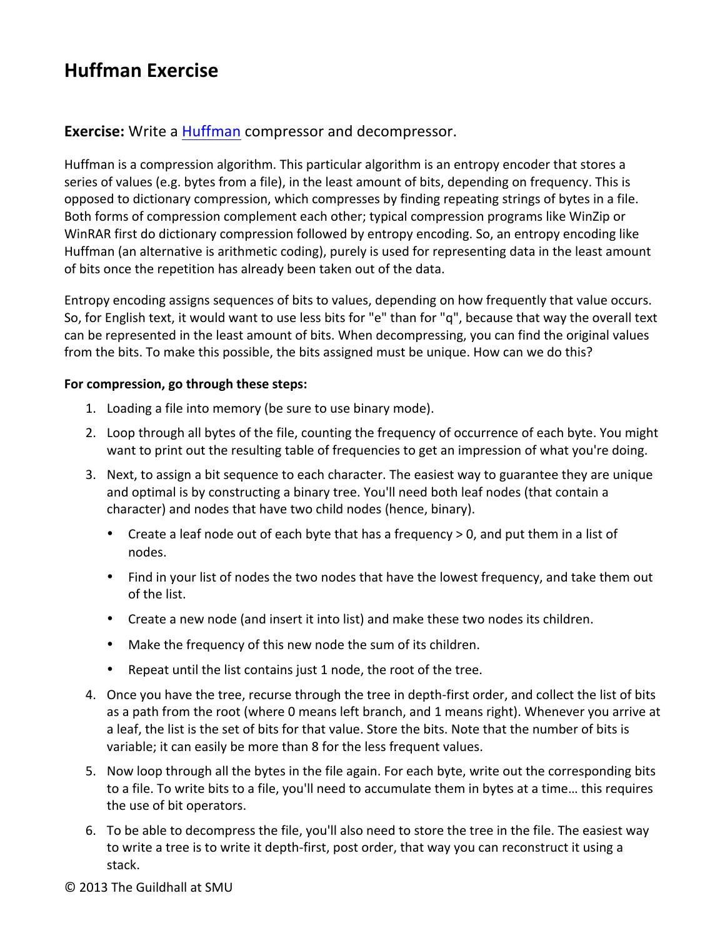# **Huffman Exercise**

### **Exercise:** Write a Huffman compressor and decompressor.

Huffman is a compression algorithm. This particular algorithm is an entropy encoder that stores a series of values (e.g. bytes from a file), in the least amount of bits, depending on frequency. This is opposed to dictionary compression, which compresses by finding repeating strings of bytes in a file. Both forms of compression complement each other; typical compression programs like WinZip or WinRAR first do dictionary compression followed by entropy encoding. So, an entropy encoding like Huffman (an alternative is arithmetic coding), purely is used for representing data in the least amount of bits once the repetition has already been taken out of the data.

Entropy encoding assigns sequences of bits to values, depending on how frequently that value occurs. So, for English text, it would want to use less bits for "e" than for "q", because that way the overall text can be represented in the least amount of bits. When decompressing, you can find the original values from the bits. To make this possible, the bits assigned must be unique. How can we do this?

#### For compression, go through these steps:

- 1. Loading a file into memory (be sure to use binary mode).
- 2. Loop through all bytes of the file, counting the frequency of occurrence of each byte. You might want to print out the resulting table of frequencies to get an impression of what you're doing.
- 3. Next, to assign a bit sequence to each character. The easiest way to guarantee they are unique and optimal is by constructing a binary tree. You'll need both leaf nodes (that contain a character) and nodes that have two child nodes (hence, binary).
	- Create a leaf node out of each byte that has a frequency  $> 0$ , and put them in a list of nodes.
	- Find in your list of nodes the two nodes that have the lowest frequency, and take them out of the list.
	- Create a new node (and insert it into list) and make these two nodes its children.
	- Make the frequency of this new node the sum of its children.
	- Repeat until the list contains just 1 node, the root of the tree.
- 4. Once you have the tree, recurse through the tree in depth-first order, and collect the list of bits as a path from the root (where 0 means left branch, and 1 means right). Whenever you arrive at a leaf, the list is the set of bits for that value. Store the bits. Note that the number of bits is variable; it can easily be more than 8 for the less frequent values.
- 5. Now loop through all the bytes in the file again. For each byte, write out the corresponding bits to a file. To write bits to a file, you'll need to accumulate them in bytes at a time... this requires the use of bit operators.
- 6. To be able to decompress the file, you'll also need to store the tree in the file. The easiest way to write a tree is to write it depth-first, post order, that way you can reconstruct it using a stack.
- © 2013 The Guildhall at SMU